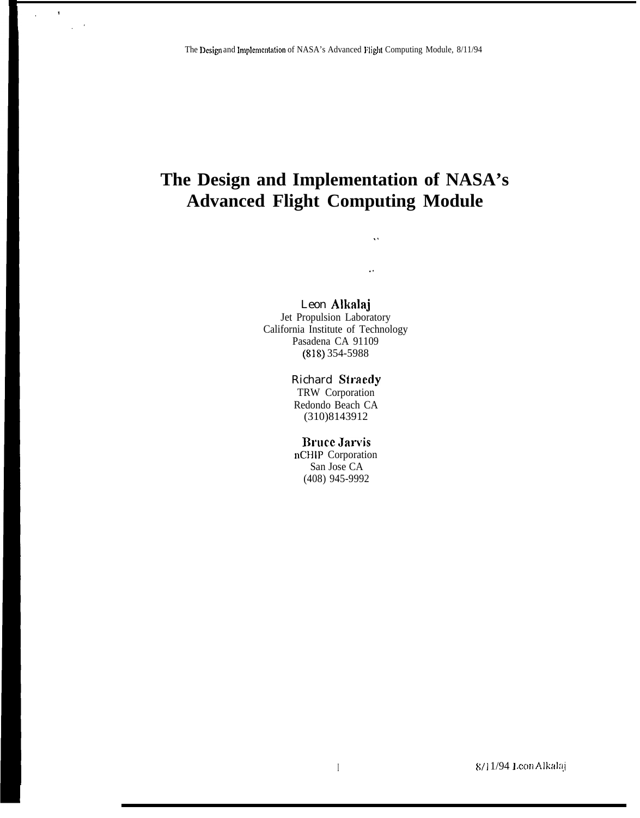$\color{red}1$ 

 $\overline{\phantom{a}}$ 

# The Design and Implementation of NASA's **Advanced Flight Computing Module**

 $\bar{\mathbf{v}}$ 

 $\bar{\mathbf{z}}$  .

Leon Alkalaj

Jet Propulsion Laboratory California Institute of Technology Pasadena CA 91109  $(818)$  354-5988

### **Richard Straedy**

TRW Corporation Redondo Beach CA  $(310)8143912$ 

### **Bruce Jarvis**

nCHIP Corporation San Jose CA (408) 945-9992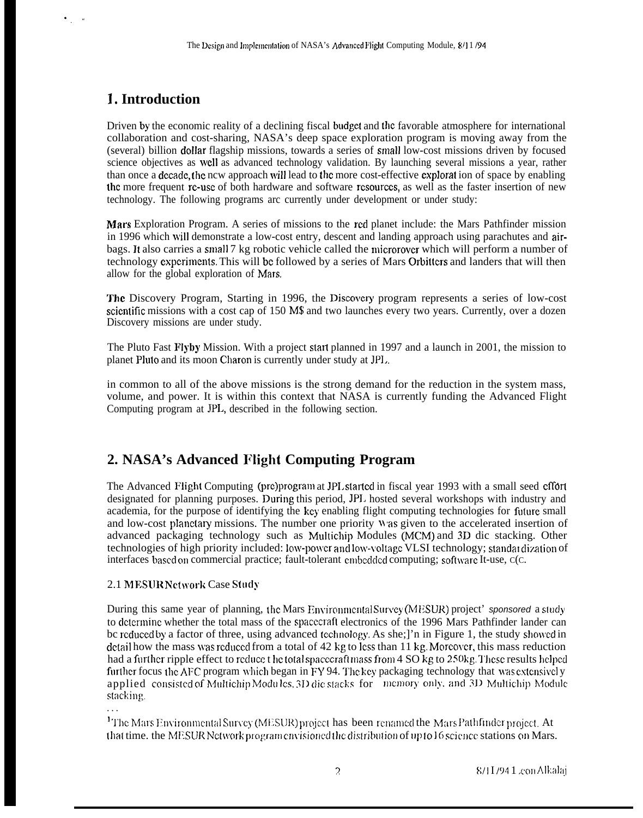# **1. Introduction**

 $\cdot$   $\cdot$   $\cdot$ 

Driven by the economic reality of a declining fiscal budget and the favorable atmosphere for international collaboration and cost-sharing, NASA's deep space exploration program is moving away from the (several) billion dollar flagship missions, towards a series of small low-cost missions driven by focused science objectives as well as advanced technology validation. By launching several missions a year, rather than once a dccadc, the ncw approach will lead to the more cost-effective explorat ion of space by enabling the more frequent re-use of both hardware and software resources, as well as the faster insertion of new technology. The following programs arc currently under development or under study:

Mars Exploration Program. A series of missions to the rcd planet include: the Mars Pathfinder mission in 1996 which will demonstrate a low-cost entry, descent and landing approach using parachutes and airbags. It also carries a small 7 kg robotic vehicle called the microrover which will perform a number of technology expcrimcnls. This will bc followed by a series of Mars Orbitlers and landers that will then allow for the global exploration of Mars.

The Discovery Program, Starting in 1996, the Discovery program represents a series of low-cost scientific missions with a cost cap of 150 M\$ and two launches every two years. Currently, over a dozen Discovery missions are under study.

The Pluto Fast Flyby Mission. With a project start planned in 1997 and a launch in 2001, the mission to planet Pluto and its moon Charon is currently under study at JPI..

in common to all of the above missions is the strong demand for the reduction in the system mass, volume, and power. It is within this context that NASA is currently funding the Advanced Flight Computing program at JPL, described in the following section.

# **2. NASA's Advanced Plight Computing Program**

The Advanced Flight Computing (pre)program at JPL started in fiscal year 1993 with a small seed effort designated for planning purposes. During this period, JPI. hosted several workshops with industry and academia, for the purpose of identifying the key enabling flight computing technologies for future small and low-cost planetary missions. The number one priority Was given to the accelerated insertion of advanced packaging technology such as Multichip Modules (MCM) and 3D dic stacking. Other technologies of high priority included: low-power and low-voltage VLSI technology; standardization of interfaces based on commercial practice; fault-tolerant embedded computing; software It-use, C(C.

### 2.1 MESUR Network Case Study

. . .

During this same year of planning, the Mars Environmental Survey (MESUR) project' sponsored a study to determine whether the total mass of the spacecraft electronics of the 1996 Mars Pathfinder lander can bc reduced by a factor of three, using advanced (echnology. As she;]'n in Figure 1, the study showed in detail how the mass was reduced from a total of 42 kg to less than 11 kg. Moreover, this mass reduction had a further ripple effect to reduce t he total spacecraft mass from 4 SO kg to 250kg. These results helped further focus the AFC program which began in FY 94. The key packaging technology that was extensively applied consisted of Multichip Modules, 3D die stacks for memory only, and 3D Multichip Module stacking.

<sup>1</sup>The Mars Environmental Survey (MESUR) project has been renamed the Mars Pathfinder project. At that time. the MESUR Network program envisioned the distribution of up to 16 science stations on Mars.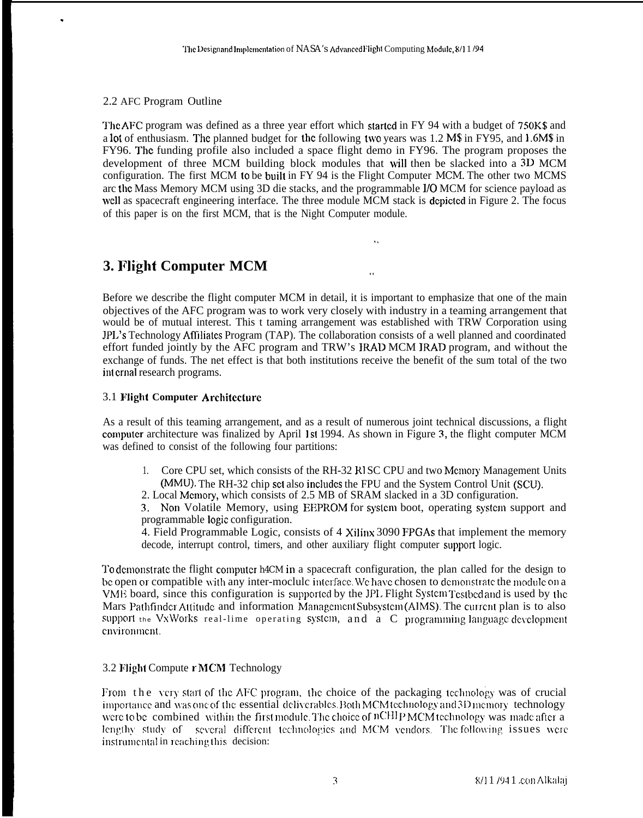2.2 AFC Program Outline

.

The AFC program was defined as a three year effort which started in FY 94 with a budget of 750K\$ and a lot of enthusiasm. The planned budget for the following two years was 1.2 M\$ in FY95, and 1.6M\$ in FY96. The funding profile also included a space flight demo in FY96. The program proposes the development of three MCM building block modules that will then be slacked into a 3D MCM configuration. The first MCM to be built in FY 94 is the Flight Computer MCM. The other two MCMS arc the Mass Memory MCM using 3D die stacks, and the programmable 1/0 MCM for science payload as well as spacecraft engineering interface. The three module MCM stack is depicted in Figure 2. The focus of this paper is on the first MCM, that is the Night Computer module.

# **3. Flight Computer MCM . .**

Before we describe the flight computer MCM in detail, it is important to emphasize that one of the main objectives of the AFC program was to work very closely with industry in a teaming arrangement that would be of mutual interest. This t taming arrangement was established with TRW Corporation using JPI.'s Technology Affiliates Program (TAP). The collaboration consists of a well planned and coordinated effort funded jointly by the AFC program and TRW's IRAD MCM IRAD program, and without the exchange of funds. The net effect is that both institutions receive the benefit of the sum total of the two int crnal research programs.

### 3.1 **Flight Computer Architccturc**

As a result of this teaming arrangement, and as a result of numerous joint technical discussions, a flight computer architecture was finalized by April 1st 1994. As shown in Figure 3, the flight computer MCM was defined to consist of the following four partitions:

1. Core CPU set, which consists of the RH-32 RISC CPU and two Memory Management Units (MMU). The RH-32 chip set also includes the FPU and the System Control Unit (SCU).

2. Local Memory, which consists of 2.5 MB of SRAM slacked in a 3D configuration.

3. Non Volatile Memory, using EEPROM for system boot, operating system support and programmable logic configuration.

4. Field Programmable Logic, consists of 4 Xilinx 3090 FPGAs that implement the memory decode, interrupt control, timers, and other auxiliary flight computer support logic.

To demonstrate the flight computer h4CM in a spacecraft configuration, the plan called for the design to be open or compatible with any inter-moclulc interface. We have chosen to demonstrate the modulc on a VME board, since this configuration is supported by the JPL Flight System Testbed and is used by the Mars Pathfinder Attitude and information Management Subsystem (AIMS). The current plan is to also support the VxWorks real-lime operating system, and a C programming language development cnvironment.

### 3.2 Flight Compute r MCM Technology

From the very start of the AFC program, the choice of the packaging technology was of crucial importance and was one of the essential deliverables. Both MCM technology and 3D memory technology were to be combined within the first module. The choice of  $nCHIP MCM$  technology was made after a lengthy study of several different technologies and MCM vendors. The following issues were instrumental in reaching this decision: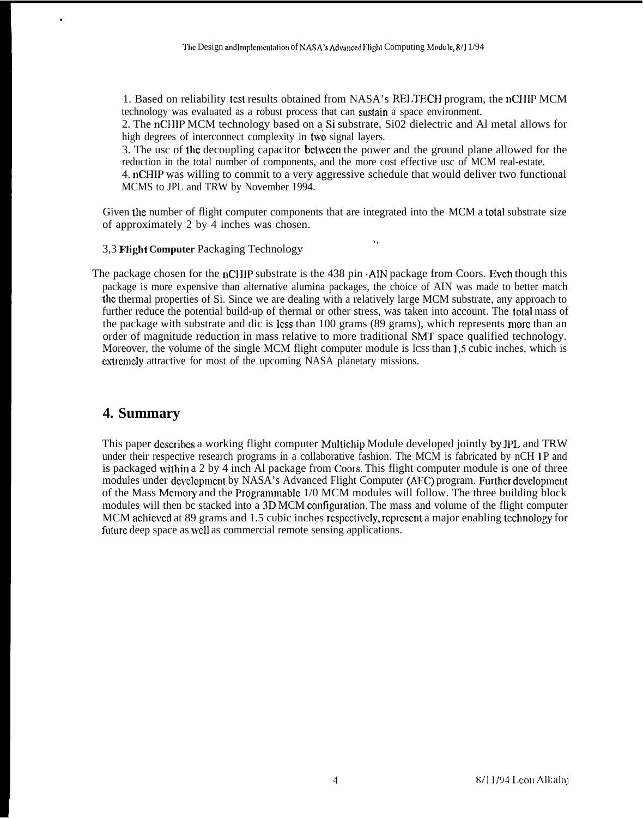1. Based on reliability test results obtained from NASA's RE1,TECH program, the nCHIP MCM technology was evaluated as a robust process that can suslain a space environment.

2. The nCHIP MCM technology based on a Si substrate, Si02 dielectric and Al metal allows for high degrees of interconnect complexity in two signal layers.

3. The usc of the decoupling capacitor bctwccn the power and the ground plane allowed for the reduction in the total number of components, and the more cost effective usc of MCM real-estate.

4. nCHIP was willing to commit to a very aggressive schedule that would deliver two functional MCMS to JPL and TRW by November 1994.

.,

Given the number of flight computer components that are integrated into the MCM a total substrate size of approximately 2 by 4 inches was chosen.

### 3,3 **Flight Computer** Packaging Technology

The package chosen for the nCHIP substrate is the 438 pin AIN package from Coors. Even though this package is more expensive than alternative alumina packages, the choice of AIN was made to better match the thermal properties of Si. Since we are dealing with a relatively large MCM substrate, any approach to further reduce the potential build-up of thermal or other stress, was taken into account. The total mass of the package with substrate and dic is less than 100 grams (89 grams), which represents more than an order of magnitude reduction in mass relative to more traditional SMT space qualified technology. Moreover, the volume of the single MCM flight computer module is lcss than 1.5 cubic inches, which is extremely attractive for most of the upcoming NASA planetary missions.

### **4. Summary**

.

This paper describes a working flight computer Multichip Module developed jointly by JPL and TRW under their respective research programs in a collaborative fashion. The MCM is fabricated by nCH 1P and is packaged writhin a 2 by 4 inch Al package from Coors. This flight computer module is one of three modules under development by NASA's Advanced Flight Computer (AFC) program. Further development of the Mass Memory and the Programmable 1/0 MCM modules will follow. The three building block modules will then bc stacked into a 3D MCM configuration. The mass and volume of the flight computer MCM achieved at 89 grams and 1.5 cubic inches respectively, represent a major enabling technology for future deep space as well as commercial remote sensing applications.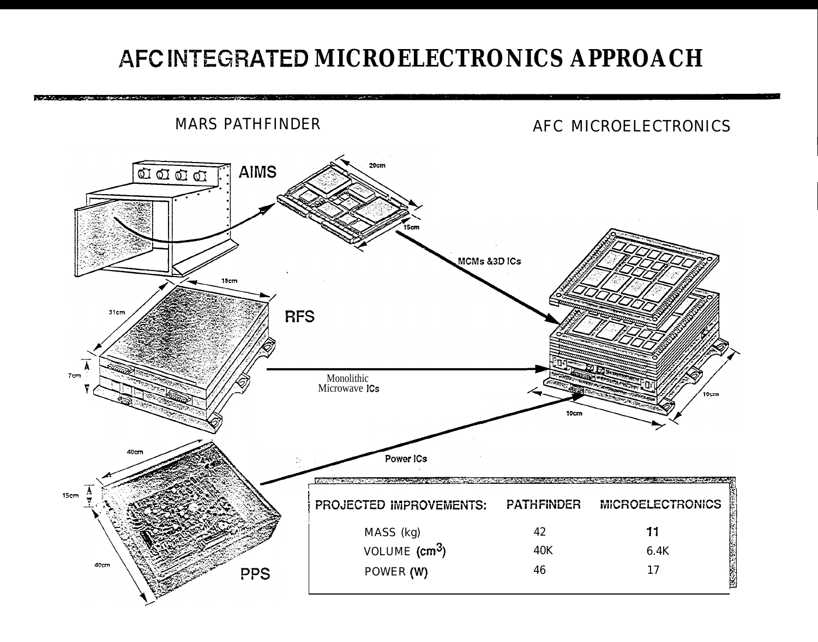# AFC INTEGRATED MICROELECTRONICS APPROACH

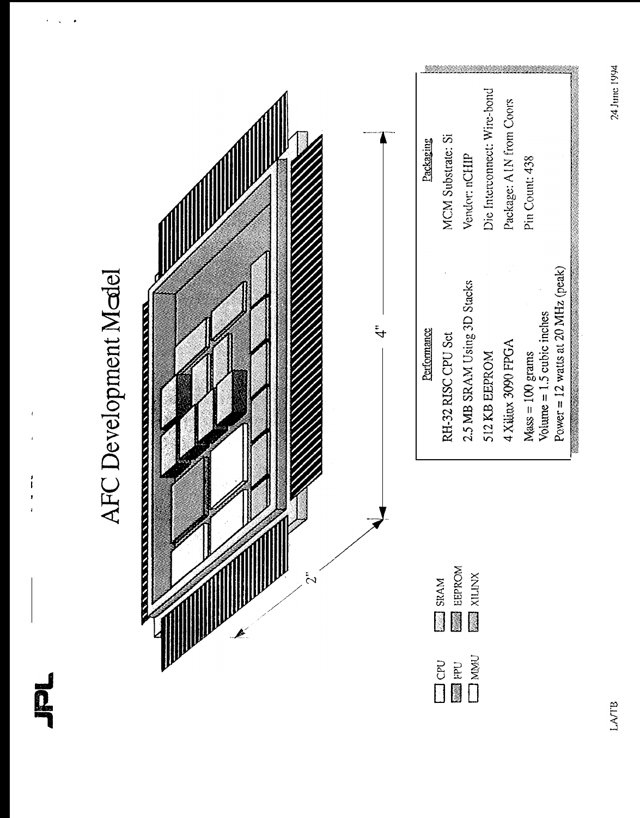$\bar{1}$ 

 $\begin{array}{c} 1 \\ 1 \\ 1 \end{array}$ 

# AFC Development Medel



| Packaging   | <b>MCM Substrate: Si</b>               | Vendor: nCHIP               | Die Interconnect: Wire-bond | Package: AIN from Coors | Pin Count: 438                       |                             |                                     |
|-------------|----------------------------------------|-----------------------------|-----------------------------|-------------------------|--------------------------------------|-----------------------------|-------------------------------------|
| Performance | RH-32 RISC CPU Sct                     | 2.5 MB SRAM Using 3D Stacks | 512 KB EEPROM               | 4 Xilinx 3090 FPGA      | $M_{\text{RSS}} = 100 \text{ grams}$ | Volume $= 1.5$ cubic inches | Power = $12$ watts at 20 MHz (peak) |
|             | SRAM<br>EEPROM<br>XILINX<br><b>NBN</b> |                             |                             |                         |                                      |                             |                                     |
|             |                                        |                             |                             |                         |                                      |                             |                                     |